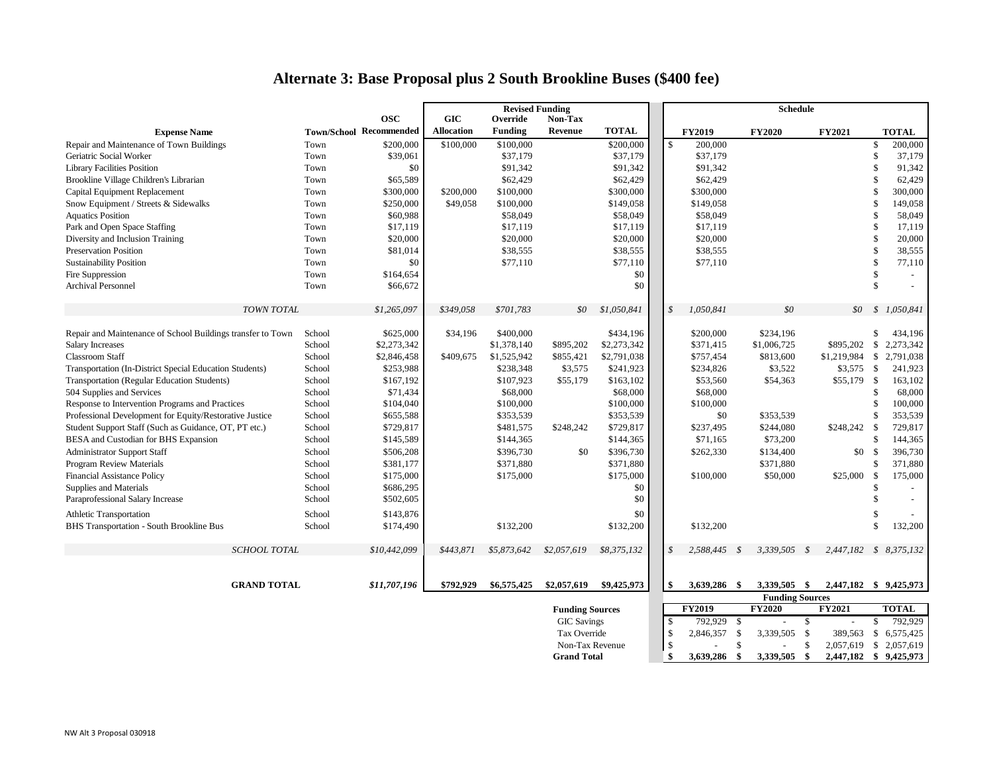## **Alternate 3: Base Proposal plus 2 South Brookline Buses (\$400 fee)**

|                                                             |                 |                                | <b>Revised Funding</b>   |                |                    |               |                    |                        | <b>Schedule</b> |               |     |                        |                    |              |
|-------------------------------------------------------------|-----------------|--------------------------------|--------------------------|----------------|--------------------|---------------|--------------------|------------------------|-----------------|---------------|-----|------------------------|--------------------|--------------|
|                                                             |                 | <b>OSC</b>                     | <b>GIC</b>               | Override       | Non-Tax            |               |                    |                        |                 |               |     |                        |                    |              |
| <b>Expense Name</b>                                         |                 | <b>Town/School Recommended</b> | <b>Allocation</b>        | <b>Funding</b> | Revenue            | <b>TOTAL</b>  |                    | <b>FY2019</b>          |                 | <b>FY2020</b> |     | FY2021                 |                    | <b>TOTAL</b> |
| Repair and Maintenance of Town Buildings                    | Town            | \$200,000                      | \$100,000                | \$100,000      |                    | \$200,000     | $\mathbf{\hat{S}}$ | 200,000                |                 |               |     |                        | <sup>\$</sup>      | 200,000      |
| Geriatric Social Worker                                     | Town            | \$39,061                       |                          | \$37,179       |                    | \$37,179      |                    | \$37,179               |                 |               |     |                        | \$                 | 37,179       |
| <b>Library Facilities Position</b>                          | Town            | \$0                            |                          | \$91,342       |                    | \$91,342      |                    | \$91,342               |                 |               |     |                        | <sup>\$</sup>      | 91,342       |
| Brookline Village Children's Librarian                      | Town            | \$65,589                       |                          | \$62,429       |                    | \$62,429      |                    | \$62,429               |                 |               |     |                        | $\mathbf{s}$       | 62,429       |
| Capital Equipment Replacement                               | Town            | \$300,000                      | \$200,000                | \$100,000      |                    | \$300,000     |                    | \$300,000              |                 |               |     |                        | $\mathcal{S}$      | 300,000      |
| Snow Equipment / Streets & Sidewalks                        | Town            | \$250,000                      | \$49,058                 | \$100,000      |                    | \$149,058     |                    | \$149,058              |                 |               |     |                        | $\mathbf{\hat{S}}$ | 149,058      |
| <b>Aquatics Position</b>                                    | Town            | \$60,988                       |                          | \$58,049       |                    | \$58,049      |                    | \$58,049               |                 |               |     |                        | £.                 | 58,049       |
| Park and Open Space Staffing                                | Town            | \$17,119                       |                          | \$17,119       |                    | \$17,119      |                    | \$17,119               |                 |               |     |                        | \$                 | 17,119       |
| Diversity and Inclusion Training                            | Town            | \$20,000                       |                          | \$20,000       |                    | \$20,000      |                    | \$20,000               |                 |               |     |                        | $\mathcal{S}$      | 20,000       |
| <b>Preservation Position</b>                                | Town            | \$81,014                       |                          | \$38,555       |                    | \$38,555      |                    | \$38,555               |                 |               |     |                        | \$                 | 38,555       |
| <b>Sustainability Position</b>                              | Town            | \$0                            |                          | \$77,110       |                    | \$77,110      |                    | \$77,110               |                 |               |     |                        | \$                 | 77,110       |
| Fire Suppression                                            | Town            | \$164,654                      |                          |                |                    | \$0           |                    |                        |                 |               |     |                        | \$                 |              |
| <b>Archival Personnel</b>                                   | Town            | \$66,672                       |                          |                |                    | \$0           |                    |                        |                 |               |     |                        | $\mathcal{S}$      |              |
|                                                             |                 |                                |                          |                |                    |               |                    |                        |                 |               |     |                        |                    |              |
| TOWN TOTAL                                                  |                 | \$1,265,097                    | \$349,058                | \$701,783      | \$0\$              | \$1,050,841   | $\mathcal{S}$      | 1,050,841              |                 | \$0           |     | \$0                    |                    | \$1,050,841  |
|                                                             |                 |                                |                          |                |                    |               |                    |                        |                 |               |     |                        |                    |              |
| Repair and Maintenance of School Buildings transfer to Town | School          | \$625,000                      | \$34,196                 | \$400,000      |                    | \$434,196     |                    | \$200,000              |                 | \$234,196     |     |                        | \$                 | 434,196      |
| <b>Salary Increases</b>                                     | School          | \$2,273,342                    |                          | \$1,378,140    | \$895,202          | \$2,273,342   |                    | \$371,415              |                 | \$1,006,725   |     | \$895,202 \$           |                    | 2,273,342    |
| <b>Classroom Staff</b>                                      | School          | \$2,846,458                    | \$409,675                | \$1,525,942    | \$855,421          | \$2,791,038   |                    | \$757,454              |                 | \$813,600     |     | $$1,219,984$ \$        |                    | 2,791,038    |
| Transportation (In-District Special Education Students)     | School          | \$253,988                      |                          | \$238,348      | \$3,575            | \$241,923     |                    | \$234,826              |                 | \$3,522       |     | $$3,575$ \$            |                    | 241,923      |
| Transportation (Regular Education Students)                 | School          | \$167,192                      |                          | \$107,923      | \$55,179           | \$163,102     |                    | \$53,560               |                 | \$54,363      |     | $$55,179$ \$           |                    | 163,102      |
| 504 Supplies and Services                                   | School          | \$71,434                       |                          | \$68,000       |                    | \$68,000      |                    | \$68,000               |                 |               |     |                        | \$                 | 68,000       |
| Response to Intervention Programs and Practices             | School          | \$104,040                      |                          | \$100,000      |                    | \$100,000     |                    | \$100,000              |                 |               |     |                        | -\$                | 100,000      |
| Professional Development for Equity/Restorative Justice     | School          | \$655,588                      |                          | \$353,539      |                    | \$353,539     |                    | \$0                    |                 | \$353,539     |     |                        | \$                 | 353,539      |
| Student Support Staff (Such as Guidance, OT, PT etc.)       | School          | \$729,817                      |                          | \$481,575      | \$248,242          | \$729,817     |                    | \$237,495              |                 | \$244,080     |     | \$248,242              | \$                 | 729,817      |
| BESA and Custodian for BHS Expansion                        | School          | \$145,589                      |                          | \$144,365      |                    | \$144,365     |                    | \$71,165               |                 | \$73,200      |     |                        | \$                 | 144,365      |
| Administrator Support Staff                                 | School          | \$506,208                      |                          | \$396,730      | \$0                | \$396,730     |                    | \$262,330              |                 | \$134,400     |     | \$0                    | $\mathbb{S}$       | 396,730      |
| Program Review Materials                                    | School          | \$381,177                      |                          | \$371,880      |                    | \$371,880     |                    |                        |                 | \$371,880     |     |                        | <sup>\$</sup>      | 371,880      |
| <b>Financial Assistance Policy</b>                          | School          | \$175,000                      |                          | \$175,000      |                    | \$175,000     |                    | \$100,000              |                 | \$50,000      |     | \$25,000               | $\mathbf{\hat{S}}$ | 175,000      |
| Supplies and Materials                                      | School          | \$686,295                      |                          |                |                    | \$0           |                    |                        |                 |               |     |                        | $\mathcal{S}$      |              |
| Paraprofessional Salary Increase                            | School          | \$502,605                      |                          |                |                    | \$0           |                    |                        |                 |               |     |                        | $\mathcal{S}$      |              |
| <b>Athletic Transportation</b>                              | School          | \$143,876                      |                          |                |                    | \$0           |                    |                        |                 |               |     |                        | -S                 |              |
| BHS Transportation - South Brookline Bus                    | School          | \$174,490                      |                          | \$132,200      |                    | \$132,200     |                    | \$132,200              |                 |               |     |                        | $\mathcal{S}$      | 132,200      |
|                                                             |                 |                                |                          |                |                    |               |                    |                        |                 |               |     |                        |                    |              |
| <b>SCHOOL TOTAL</b>                                         |                 | \$10,442,099                   | \$443,871                | \$5,873,642    | \$2,057,619        | \$8,375,132   | $\mathcal{S}$      | 2,588,445 \$           |                 | 3,339,505 \$  |     | 2,447,182 \$ 8,375,132 |                    |              |
|                                                             |                 |                                |                          |                |                    |               |                    |                        |                 |               |     |                        |                    |              |
|                                                             |                 |                                |                          |                |                    |               |                    |                        |                 |               |     |                        |                    |              |
| <b>GRAND TOTAL</b>                                          |                 | \$11,707,196                   | \$792,929                | \$6,575,425    | \$2,057,619        | \$9,425,973   | \$                 | 3,639,286 \$           |                 | 3,339,505 \$  |     | 2,447,182 \$ 9,425,973 |                    |              |
|                                                             |                 |                                |                          |                |                    |               |                    | <b>Funding Sources</b> |                 |               |     |                        |                    |              |
|                                                             |                 |                                | <b>Funding Sources</b>   |                |                    | <b>FY2019</b> |                    | <b>FY2020</b>          |                 | <b>FY2021</b> |     | <b>TOTAL</b>           |                    |              |
|                                                             |                 |                                |                          |                | <b>GIC</b> Savings |               |                    | 792,929 \$             |                 |               | \$  |                        | \$                 | 792,929      |
|                                                             | Tax Override    |                                |                          |                |                    |               | \$                 | 2,846,357 \$           |                 | 3,339,505     | -\$ | 389,563                | $\mathbb{S}$       | 6,575,425    |
|                                                             | Non-Tax Revenue |                                |                          |                |                    |               | $\mathbb{S}$       |                        | \$              |               | \$  | 2,057,619              |                    | \$ 2,057,619 |
|                                                             |                 |                                | \$<br><b>Grand Total</b> |                |                    |               |                    | 3,639,286              | -\$             | 3,339,505     | -\$ | 2,447,182 \$ 9,425,973 |                    |              |